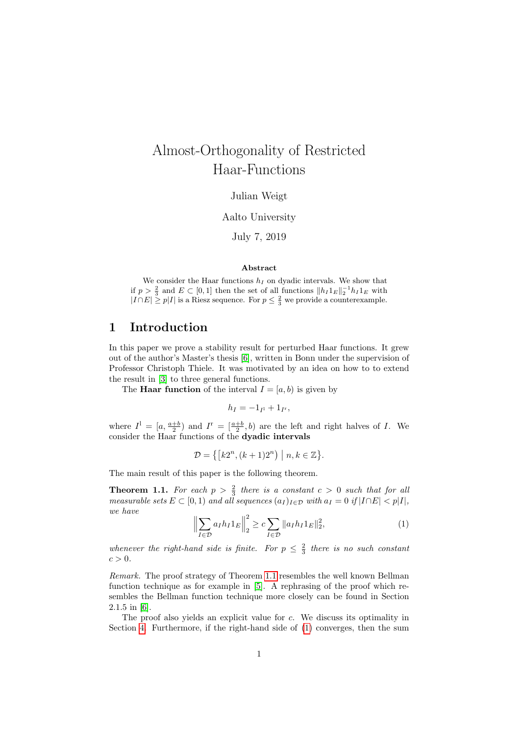## Almost-Orthogonality of Restricted Haar-Functions

Julian Weigt

#### Aalto University

July 7, 2019

#### Abstract

We consider the Haar functions  $h_I$  on dyadic intervals. We show that if  $p > \frac{2}{3}$  and  $E \subset [0,1]$  then the set of all functions  $||h_I 1_E||_2^{-1}h_I 1_E$  with  $|I \cap E| \geq p|I|$  is a Riesz sequence. For  $p \leq \frac{2}{3}$  we provide a counterexample.

## 1 Introduction

In this paper we prove a stability result for perturbed Haar functions. It grew out of the author's Master's thesis [\[6\]](#page-9-0), written in Bonn under the supervision of Professor Christoph Thiele. It was motivated by an idea on how to to extend the result in [\[3\]](#page-9-1) to three general functions.

The **Haar function** of the interval  $I = [a, b)$  is given by

$$
h_I=-1_{I^1}+1_{I^r},
$$

where  $I^1 = [a, \frac{a+b}{2})$  and  $I^r = [\frac{a+b}{2}, b)$  are the left and right halves of I. We consider the Haar functions of the dyadic intervals

$$
\mathcal{D} = \left\{ \left[ k2^n, (k+1)2^n \right) \mid n, k \in \mathbb{Z} \right\}.
$$

The main result of this paper is the following theorem.

<span id="page-0-0"></span>**Theorem 1.1.** For each  $p > \frac{2}{3}$  there is a constant  $c > 0$  such that for all measurable sets  $E \subset [0, 1)$  and all sequences  $(a_I)_{I \in \mathcal{D}}$  with  $a_I = 0$  if  $|I \cap E| < p|I|$ , we have

<span id="page-0-1"></span>
$$
\left\| \sum_{I \in \mathcal{D}} a_I h_I 1_E \right\|_2^2 \ge c \sum_{I \in \mathcal{D}} \|a_I h_I 1_E\|_2^2, \tag{1}
$$

whenever the right-hand side is finite. For  $p \leq \frac{2}{3}$  there is no such constant  $c > 0$ .

Remark. The proof strategy of Theorem [1.1](#page-0-0) resembles the well known Bellman function technique as for example in [\[5\]](#page-9-2). A rephrasing of the proof which resembles the Bellman function technique more closely can be found in Section 2.1.5 in [\[6\]](#page-9-0).

The proof also yields an explicit value for c. We discuss its optimality in Section [4.](#page-6-0) Furthermore, if the right-hand side of [\(1\)](#page-0-1) converges, then the sum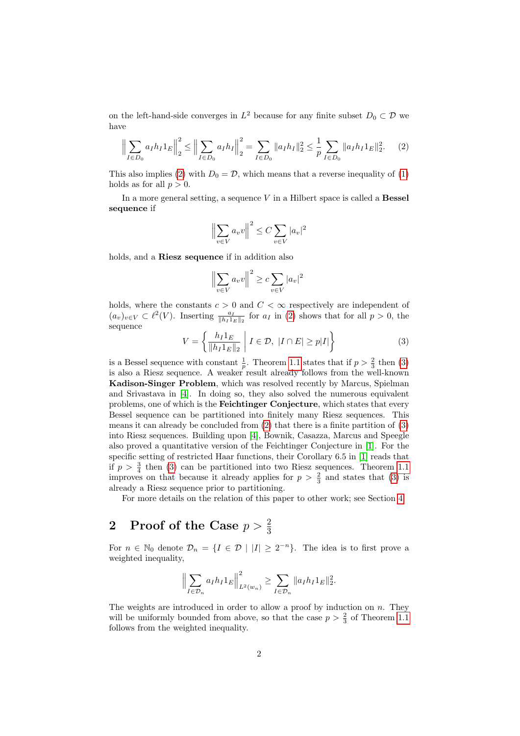on the left-hand-side converges in  $L^2$  because for any finite subset  $D_0 \subset \mathcal{D}$  we have

<span id="page-1-0"></span>
$$
\left\| \sum_{I \in D_0} a_I h_I 1_E \right\|_2^2 \le \left\| \sum_{I \in D_0} a_I h_I \right\|_2^2 = \sum_{I \in D_0} \|a_I h_I\|_2^2 \le \frac{1}{p} \sum_{I \in D_0} \|a_I h_I 1_E\|_2^2. \tag{2}
$$

This also implies [\(2\)](#page-1-0) with  $D_0 = \mathcal{D}$ , which means that a reverse inequality of [\(1\)](#page-0-1) holds as for all  $p > 0$ .

In a more general setting, a sequence  $V$  in a Hilbert space is called a **Bessel** sequence if

$$
\left\|\sum_{v\in V} a_v v\right\|^2 \le C \sum_{v\in V} |a_v|^2
$$

holds, and a Riesz sequence if in addition also

$$
\left\|\sum_{v\in V} a_v v\right\|^2 \ge c \sum_{v\in V} |a_v|^2
$$

holds, where the constants  $c > 0$  and  $C < \infty$  respectively are independent of  $(a_v)_{v\in V}\subset \ell^2(V)$ . Inserting  $\frac{a_I}{\|h_I\|_E\|_2}$  for  $a_I$  in [\(2\)](#page-1-0) shows that for all  $p>0$ , the sequence

<span id="page-1-1"></span>
$$
V = \left\{ \frac{h_I 1_E}{\|h_I 1_E\|_2} \middle| I \in \mathcal{D}, \ |I \cap E| \ge p|I| \right\}
$$
 (3)

is a Bessel sequence with constant  $\frac{1}{p}$ . Theorem [1.1](#page-0-0) states that if  $p > \frac{2}{3}$  then [\(3\)](#page-1-1) is also a Riesz sequence. A weaker result already follows from the well-known Kadison-Singer Problem, which was resolved recently by Marcus, Spielman and Srivastava in [\[4\]](#page-9-3). In doing so, they also solved the numerous equivalent problems, one of which is the Feichtinger Conjecture, which states that every Bessel sequence can be partitioned into finitely many Riesz sequences. This means it can already be concluded from [\(2\)](#page-1-0) that there is a finite partition of [\(3\)](#page-1-1) into Riesz sequences. Building upon [\[4\]](#page-9-3), Bownik, Casazza, Marcus and Speegle also proved a quantitative version of the Feichtinger Conjecture in [\[1\]](#page-8-0). For the specific setting of restricted Haar functions, their Corollary 6.5 in [\[1\]](#page-8-0) reads that if  $p > \frac{3}{4}$  then [\(3\)](#page-1-1) can be partitioned into two Riesz sequences. Theorem [1.1](#page-0-0) improves on that because it already applies for  $p > \frac{2}{3}$  and states that [\(3\)](#page-1-1) is already a Riesz sequence prior to partitioning.

For more details on the relation of this paper to other work; see Section [4.](#page-6-0)

# $2\quad \text{Proof of the Case } p>\frac{2}{3}$

For  $n \in \mathbb{N}_0$  denote  $\mathcal{D}_n = \{I \in \mathcal{D} \mid |I| \geq 2^{-n}\}.$  The idea is to first prove a weighted inequality,

$$
\left\| \sum_{I \in \mathcal{D}_n} a_I h_I 1_E \right\|_{L^2(w_n)}^2 \ge \sum_{I \in \mathcal{D}_n} \|a_I h_I 1_E\|_2^2.
$$

The weights are introduced in order to allow a proof by induction on  $n$ . They will be uniformly bounded from above, so that the case  $p > \frac{2}{3}$  of Theorem [1.1](#page-0-0) follows from the weighted inequality.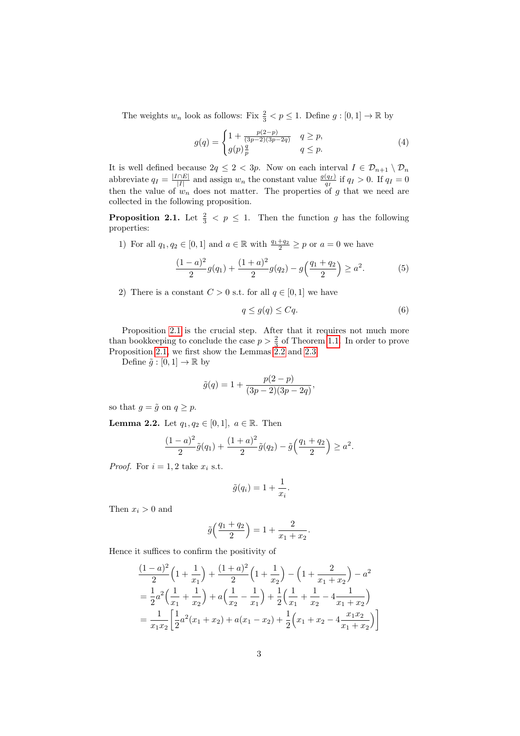The weights  $w_n$  look as follows: Fix  $\frac{2}{3} < p \leq 1$ . Define  $g : [0, 1] \to \mathbb{R}$  by

$$
g(q) = \begin{cases} 1 + \frac{p(2-p)}{(3p-2)(3p-2q)} & q \ge p, \\ g(p)\frac{q}{p} & q \le p. \end{cases}
$$
 (4)

It is well defined because  $2q \leq 2 < 3p$ . Now on each interval  $I \in \mathcal{D}_{n+1} \setminus \mathcal{D}_n$ abbreviate  $q_I = \frac{|I \cap E|}{|I|}$  $\frac{|\hat{I}|}{|I|}$  and assign  $w_n$  the constant value  $\frac{g(q_I)}{q_I}$  if  $q_I > 0$ . If  $q_I = 0$ then the value of  $w_n$  does not matter. The properties of g that we need are collected in the following proposition.

<span id="page-2-0"></span>**Proposition 2.1.** Let  $\frac{2}{3} < p \leq 1$ . Then the function g has the following properties:

1) For all  $q_1, q_2 \in [0, 1]$  and  $a \in \mathbb{R}$  with  $\frac{q_1+q_2}{2} \geq p$  or  $a = 0$  we have

<span id="page-2-2"></span>
$$
\frac{(1-a)^2}{2}g(q_1) + \frac{(1+a)^2}{2}g(q_2) - g\left(\frac{q_1+q_2}{2}\right) \ge a^2.
$$
 (5)

2) There is a constant  $C > 0$  s.t. for all  $q \in [0, 1]$  we have

<span id="page-2-3"></span>
$$
q \le g(q) \le Cq. \tag{6}
$$

Proposition [2.1](#page-2-0) is the crucial step. After that it requires not much more than bookkeeping to conclude the case  $p > \frac{2}{3}$  of Theorem [1.1.](#page-0-0) In order to prove Proposition [2.1,](#page-2-0) we first show the Lemmas [2.2](#page-2-1) and [2.3.](#page-3-0)

Define  $\tilde{g} : [0, 1] \to \mathbb{R}$  by

$$
\tilde{g}(q) = 1 + \frac{p(2-p)}{(3p-2)(3p-2q)},
$$

so that  $q = \tilde{q}$  on  $q \geq p$ .

<span id="page-2-1"></span>**Lemma 2.2.** Let  $q_1, q_2 \in [0, 1]$ ,  $a \in \mathbb{R}$ . Then

$$
\frac{(1-a)^2}{2}\tilde{g}(q_1) + \frac{(1+a)^2}{2}\tilde{g}(q_2) - \tilde{g}\left(\frac{q_1+q_2}{2}\right) \ge a^2.
$$

*Proof.* For  $i = 1, 2$  take  $x_i$  s.t.

$$
\tilde{g}(q_i) = 1 + \frac{1}{x_i}.
$$

Then  $x_i > 0$  and

$$
\tilde{g}\left(\frac{q_1+q_2}{2}\right) = 1 + \frac{2}{x_1+x_2}.
$$

Hence it suffices to confirm the positivity of

$$
\frac{(1-a)^2}{2}\left(1+\frac{1}{x_1}\right) + \frac{(1+a)^2}{2}\left(1+\frac{1}{x_2}\right) - \left(1+\frac{2}{x_1+x_2}\right) - a^2
$$
\n
$$
= \frac{1}{2}a^2\left(\frac{1}{x_1} + \frac{1}{x_2}\right) + a\left(\frac{1}{x_2} - \frac{1}{x_1}\right) + \frac{1}{2}\left(\frac{1}{x_1} + \frac{1}{x_2} - 4\frac{1}{x_1+x_2}\right)
$$
\n
$$
= \frac{1}{x_1x_2}\left[\frac{1}{2}a^2(x_1+x_2) + a(x_1-x_2) + \frac{1}{2}\left(x_1+x_2 - 4\frac{x_1x_2}{x_1+x_2}\right)\right]
$$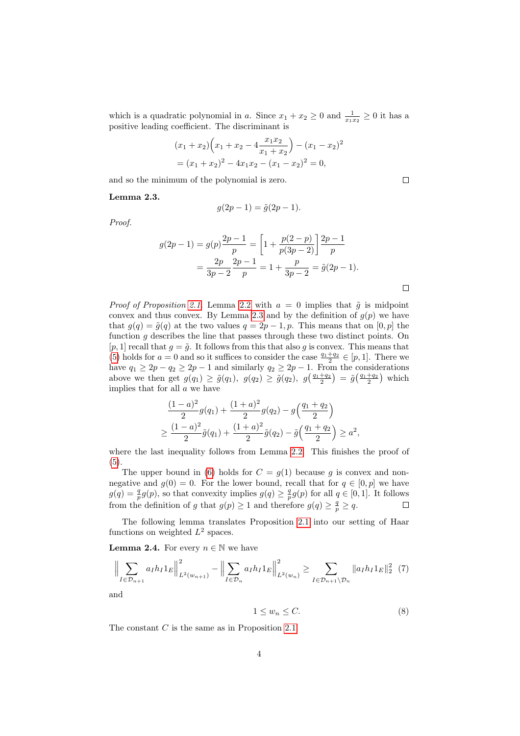which is a quadratic polynomial in a. Since  $x_1 + x_2 \ge 0$  and  $\frac{1}{x_1 x_2} \ge 0$  it has a positive leading coefficient. The discriminant is

$$
(x_1 + x_2)\left(x_1 + x_2 - 4\frac{x_1x_2}{x_1 + x_2}\right) - (x_1 - x_2)^2
$$
  
=  $(x_1 + x_2)^2 - 4x_1x_2 - (x_1 - x_2)^2 = 0$ ,

and so the minimum of the polynomial is zero.

#### <span id="page-3-0"></span>Lemma 2.3.

$$
g(2p-1) = \tilde{g}(2p-1).
$$

Proof.

$$
g(2p - 1) = g(p)\frac{2p - 1}{p} = \left[1 + \frac{p(2 - p)}{p(3p - 2)}\right] \frac{2p - 1}{p}
$$

$$
= \frac{2p}{3p - 2} \frac{2p - 1}{p} = 1 + \frac{p}{3p - 2} = \tilde{g}(2p - 1).
$$

*Proof of Proposition [2.1.](#page-2-0)* Lemma [2.2](#page-2-1) with  $a = 0$  implies that  $\tilde{g}$  is midpoint convex and thus convex. By Lemma [2.3](#page-3-0) and by the definition of  $g(p)$  we have that  $g(q) = \tilde{g}(q)$  at the two values  $q = 2p - 1, p$ . This means that on [0, p] the function  $q$  describes the line that passes through these two distinct points. On [p, 1] recall that  $g = \tilde{g}$ . It follows from this that also g is convex. This means that [\(5\)](#page-2-2) holds for  $a = 0$  and so it suffices to consider the case  $\frac{q_1 + q_2}{2} \in [p, 1]$ . There we have  $q_1 \geq 2p - q_2 \geq 2p - 1$  and similarly  $q_2 \geq 2p - 1$ . From the considerations above we then get  $g(q_1) \ge \tilde{g}(q_1)$ ,  $g(q_2) \ge \tilde{g}(q_2)$ ,  $g\left(\frac{q_1+q_2}{2}\right) = \tilde{g}\left(\frac{q_1+q_2}{2}\right)$  which implies that for all  $a$  we have

$$
\frac{(1-a)^2}{2}g(q_1) + \frac{(1+a)^2}{2}g(q_2) - g\left(\frac{q_1+q_2}{2}\right)
$$
  
\n
$$
\geq \frac{(1-a)^2}{2}\tilde{g}(q_1) + \frac{(1+a)^2}{2}\tilde{g}(q_2) - \tilde{g}\left(\frac{q_1+q_2}{2}\right) \geq a^2,
$$

where the last inequality follows from Lemma [2.2.](#page-2-1) This finishes the proof of [\(5\)](#page-2-2).

The upper bound in [\(6\)](#page-2-3) holds for  $C = g(1)$  because g is convex and nonnegative and  $q(0) = 0$ . For the lower bound, recall that for  $q \in [0, p]$  we have  $g(q) = \frac{q}{p}g(p)$ , so that convexity implies  $g(q) \geq \frac{q}{p}g(p)$  for all  $q \in [0,1]$ . It follows from the definition of g that  $g(p) \geq 1$  and therefore  $g(q) \geq \frac{q}{p} \geq q$ .  $\Box$ 

The following lemma translates Proposition [2.1](#page-2-0) into our setting of Haar functions on weighted  $L^2$  spaces.

<span id="page-3-3"></span>**Lemma 2.4.** For every  $n \in \mathbb{N}$  we have

$$
\left\| \sum_{I \in \mathcal{D}_{n+1}} a_I h_I 1_E \right\|_{L^2(w_{n+1})}^2 - \left\| \sum_{I \in \mathcal{D}_n} a_I h_I 1_E \right\|_{L^2(w_n)}^2 \ge \sum_{I \in \mathcal{D}_{n+1} \setminus \mathcal{D}_n} \|a_I h_I 1_E\|_2^2 \tag{7}
$$

a

<span id="page-3-2"></span><span id="page-3-1"></span>
$$
1 \le w_n \le C. \tag{8}
$$

The constant C is the same as in Proposition [2.1.](#page-2-0)

 $\Box$ 

 $\Box$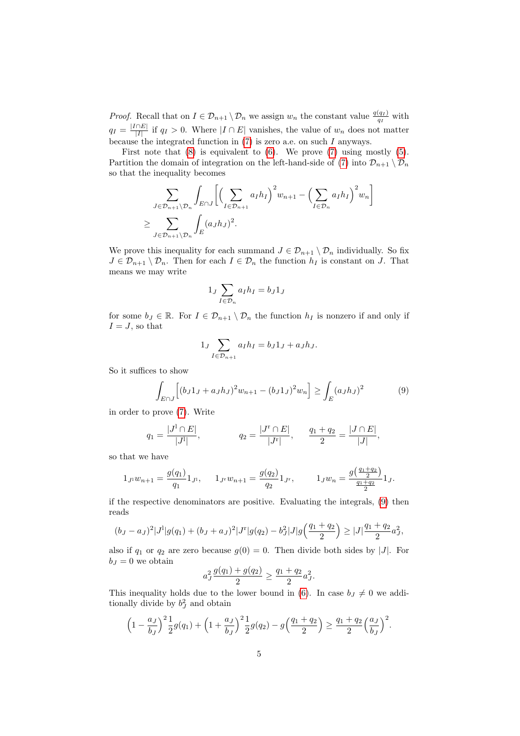*Proof.* Recall that on  $I \in \mathcal{D}_{n+1} \setminus \mathcal{D}_n$  we assign  $w_n$  the constant value  $\frac{q(q_I)}{q_I}$  with  $q_I = \frac{|I \cap E|}{|I|}$  $\frac{||E||}{|I|}$  if  $q_I > 0$ . Where  $|I \cap E|$  vanishes, the value of  $w_n$  does not matter because the integrated function in  $(7)$  is zero a.e. on such  $I$  anyways.

First note that  $(8)$  is equivalent to  $(6)$ . We prove  $(7)$  using mostly  $(5)$ . Partition the domain of integration on the left-hand-side of [\(7\)](#page-3-1) into  $\mathcal{D}_{n+1} \setminus \mathcal{D}_n$ so that the inequality becomes

$$
\sum_{J \in \mathcal{D}_{n+1} \setminus \mathcal{D}_n} \int_{E \cap J} \left[ \left( \sum_{I \in \mathcal{D}_{n+1}} a_I h_I \right)^2 w_{n+1} - \left( \sum_{I \in \mathcal{D}_n} a_I h_I \right)^2 w_n \right]
$$
  
\n
$$
\geq \sum_{J \in \mathcal{D}_{n+1} \setminus \mathcal{D}_n} \int_E (a_J h_J)^2.
$$

We prove this inequality for each summand  $J \in \mathcal{D}_{n+1} \setminus \mathcal{D}_n$  individually. So fix  $J \in \mathcal{D}_{n+1} \setminus \mathcal{D}_n$ . Then for each  $I \in \mathcal{D}_n$  the function  $h_I$  is constant on J. That means we may write

$$
1_J \sum_{I \in \mathcal{D}_n} a_I h_I = b_J 1_J
$$

for some  $b_J \in \mathbb{R}$ . For  $I \in \mathcal{D}_{n+1} \setminus \mathcal{D}_n$  the function  $h_I$  is nonzero if and only if  $I = J$ , so that

$$
1_J \sum_{I \in \mathcal{D}_{n+1}} a_I h_I = b_J 1_J + a_J h_J.
$$

So it suffices to show

<span id="page-4-0"></span>
$$
\int_{E \cap J} \left[ (b_J 1_J + a_J h_J)^2 w_{n+1} - (b_J 1_J)^2 w_n \right] \ge \int_E (a_J h_J)^2 \tag{9}
$$

in order to prove [\(7\)](#page-3-1). Write

$$
q_1 = \frac{|J^1 \cap E|}{|J^1|}, \qquad \qquad q_2 = \frac{|J^r \cap E|}{|J^r|}, \qquad \frac{q_1 + q_2}{2} = \frac{|J \cap E|}{|J|},
$$

so that we have

$$
1_{J^1}w_{n+1}=\frac{g(q_1)}{q_1}1_{J^1}, \qquad 1_{J^r}w_{n+1}=\frac{g(q_2)}{q_2}1_{J^r}, \qquad \ \ 1_{J}w_n=\frac{g\big(\frac{q_1+q_2}{2}\big)}{\frac{q_1+q_2}{2}}1_{J}.
$$

if the respective denominators are positive. Evaluating the integrals, [\(9\)](#page-4-0) then reads

$$
(b_J - a_J)^2 |J^1| g(q_1) + (b_J + a_J)^2 |J^r| g(q_2) - b_J^2 |J| g\left(\frac{q_1 + q_2}{2}\right) \ge |J| \frac{q_1 + q_2}{2} a_J^2,
$$

also if  $q_1$  or  $q_2$  are zero because  $g(0) = 0$ . Then divide both sides by |J|. For  $b_J = 0$  we obtain

$$
a_J^2 \frac{g(q_1) + g(q_2)}{2} \ge \frac{q_1 + q_2}{2} a_J^2.
$$

This inequality holds due to the lower bound in [\(6\)](#page-2-3). In case  $b_j \neq 0$  we additionally divide by  $b_J^2$  and obtain

$$
\left(1 - \frac{a_J}{b_J}\right)^2 \frac{1}{2}g(q_1) + \left(1 + \frac{a_J}{b_J}\right)^2 \frac{1}{2}g(q_2) - g\left(\frac{q_1 + q_2}{2}\right) \ge \frac{q_1 + q_2}{2}\left(\frac{a_J}{b_J}\right)^2.
$$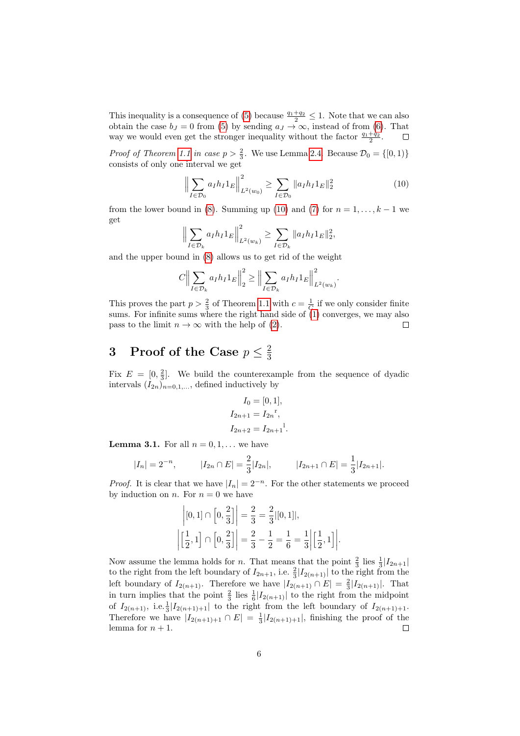This inequality is a consequence of [\(5\)](#page-2-2) because  $\frac{q_1+q_2}{2} \leq 1$ . Note that we can also obtain the case  $b_J = 0$  from [\(5\)](#page-2-2) by sending  $a_J \to \infty$ , instead of from [\(6\)](#page-2-3). That way we would even get the stronger inequality without the factor  $\frac{q_1+q_2}{2}$ .  $\Box$ 

*Proof of Theorem [1.1](#page-0-0) in case*  $p > \frac{2}{3}$ *.* We use Lemma [2.4.](#page-3-3) Because  $\mathcal{D}_0 = \{ [0, 1) \}$ consists of only one interval we get

<span id="page-5-0"></span>
$$
\left\| \sum_{I \in \mathcal{D}_0} a_I h_I 1_E \right\|_{L^2(w_0)}^2 \ge \sum_{I \in \mathcal{D}_0} \|a_I h_I 1_E\|_2^2 \tag{10}
$$

from the lower bound in [\(8\)](#page-3-2). Summing up [\(10\)](#page-5-0) and [\(7\)](#page-3-1) for  $n = 1, \ldots, k - 1$  we get

$$
\Big\|\sum_{I\in\mathcal{D}_k} a_I h_I 1_E\Big\|_{L^2(w_k)}^2 \ge \sum_{I\in\mathcal{D}_k} \|a_I h_I 1_E\|_2^2,
$$

and the upper bound in [\(8\)](#page-3-2) allows us to get rid of the weight

$$
C \Big\| \sum_{I \in \mathcal{D}_k} a_I h_I 1_E \Big\|_2^2 \ge \Big\| \sum_{I \in \mathcal{D}_k} a_I h_I 1_E \Big\|_{L^2(w_k)}^2.
$$

This proves the part  $p > \frac{2}{3}$  of Theorem [1.1](#page-0-0) with  $c = \frac{1}{C}$  if we only consider finite sums. For infinite sums where the right hand side of  $(1)$  converges, we may also pass to the limit  $n \to \infty$  with the help of [\(2\)](#page-1-0). П

#### 3 Proof of the Case  $p \leq \frac{2}{3}$ 3

Fix  $E = \left[0, \frac{2}{3}\right]$ . We build the counterexample from the sequence of dyadic intervals  $(I_{2n})_{n=0,1,...}$ , defined inductively by

$$
I_0 = [0, 1],
$$
  
\n
$$
I_{2n+1} = I_{2n}^{r},
$$
  
\n
$$
I_{2n+2} = I_{2n+1}^{r}.
$$

<span id="page-5-1"></span>**Lemma 3.1.** For all  $n = 0, 1, \ldots$  we have

$$
|I_n| = 2^{-n}
$$
,  $|I_{2n} \cap E| = \frac{2}{3} |I_{2n}|$ ,  $|I_{2n+1} \cap E| = \frac{1}{3} |I_{2n+1}|$ .

*Proof.* It is clear that we have  $|I_n| = 2^{-n}$ . For the other statements we proceed by induction on *n*. For  $n = 0$  we have

$$
\left| [0,1] \cap \left[0, \frac{2}{3}\right] \right| = \frac{2}{3} = \frac{2}{3} |[0,1]|,
$$
  

$$
\left| \left[\frac{1}{2}, 1\right] \cap \left[0, \frac{2}{3}\right] \right| = \frac{2}{3} - \frac{1}{2} = \frac{1}{6} = \frac{1}{3} \left| \left[\frac{1}{2}, 1\right] \right|.
$$

Now assume the lemma holds for *n*. That means that the point  $\frac{2}{3}$  lies  $\frac{1}{3}$   $|I_{2n+1}|$ to the right from the left boundary of  $I_{2n+1}$ , i.e.  $\frac{2}{3}|I_{2(n+1)}|$  to the right from the left boundary of  $I_{2(n+1)}$ . Therefore we have  $|I_{2(n+1)} \cap E| = \frac{2}{3} |I_{2(n+1)}|$ . That in turn implies that the point  $\frac{2}{3}$  lies  $\frac{1}{6}|I_{2(n+1)}|$  to the right from the midpoint of  $I_{2(n+1)}$ , i.e.  $\frac{1}{3}|I_{2(n+1)+1}|$  to the right from the left boundary of  $I_{2(n+1)+1}$ . Therefore we have  $|I_{2(n+1)+1} \cap E| = \frac{1}{3} |I_{2(n+1)+1}|$ , finishing the proof of the lemma for  $n + 1$ .  $\Box$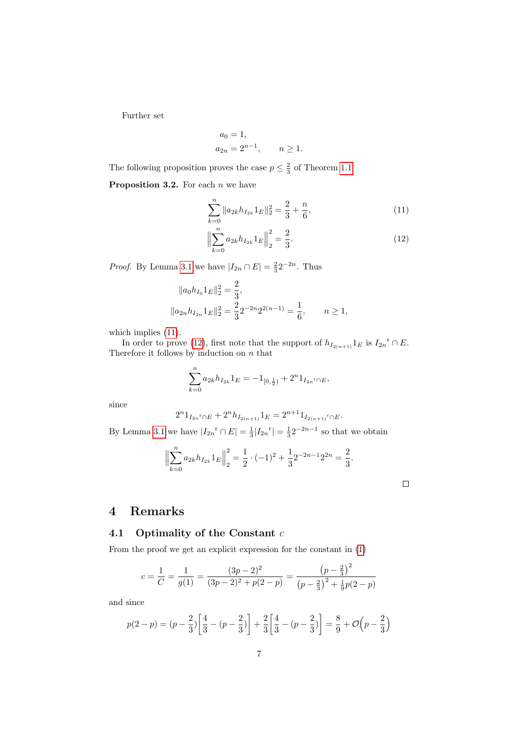Further set

$$
a_0 = 1,
$$
  
\n $a_{2n} = 2^{n-1}, \quad n \ge 1.$ 

The following proposition proves the case  $p \leq \frac{2}{3}$  of Theorem [1.1.](#page-0-0)

**Proposition 3.2.** For each  $n$  we have

<span id="page-6-1"></span>
$$
\sum_{k=0}^{n} \|a_{2k}h_{I_{2k}}1_E\|_2^2 = \frac{2}{3} + \frac{n}{6},\tag{11}
$$

<span id="page-6-2"></span>
$$
\left\| \sum_{k=0}^{n} a_{2k} h_{I_{2k}} 1_E \right\|_2^2 = \frac{2}{3}.
$$
\n(12)

*Proof.* By Lemma [3.1](#page-5-1) we have  $|I_{2n} \cap E| = \frac{2}{3}2^{-2n}$ . Thus

$$
||a_0h_{I_0}1_E||_2^2 = \frac{2}{3},
$$
  

$$
||a_{2n}h_{I_{2n}}1_E||_2^2 = \frac{2}{3}2^{-2n}2^{2(n-1)} = \frac{1}{6}, \quad n \ge 1,
$$

which implies  $(11)$ .

In order to prove [\(12\)](#page-6-2), first note that the support of  $h_{I_{2(n+1)}} 1_E$  is  $I_{2n}$ <sup>r</sup> ∩ E. Therefore it follows by induction on  $n$  that

$$
\sum_{k=0}^{n} a_{2k} h_{I_{2k}} 1_E = -1_{[0,\frac{1}{2})} + 2^{n} 1_{I_{2n}{}^{r} \cap E},
$$

since

$$
2^{n}1_{I_{2n}r \cap E} + 2^{n}h_{I_{2(n+1)}}1_E = 2^{n+1}1_{I_{2(n+1)}r \cap E}.
$$

By Lemma [3.1](#page-5-1) we have  $|I_{2n}$ <sup>r</sup>  $\cap E| = \frac{1}{3} |I_{2n}$ <sup>r</sup> $| = \frac{1}{3} 2^{-2n-1}$  so that we obtain

$$
\left\| \sum_{k=0}^{n} a_{2k} h_{I_{2k}} 1_E \right\|_2^2 = \frac{1}{2} \cdot (-1)^2 + \frac{1}{3} 2^{-2n-1} 2^{2n} = \frac{2}{3}.
$$

## <span id="page-6-0"></span>4 Remarks

### 4.1 Optimality of the Constant  $c$

From the proof we get an explicit expression for the constant in [\(1\)](#page-0-1)

$$
c = \frac{1}{C} = \frac{1}{g(1)} = \frac{(3p-2)^2}{(3p-2)^2 + p(2-p)} = \frac{\left(p-\frac{2}{3}\right)^2}{\left(p-\frac{2}{3}\right)^2 + \frac{1}{9}p(2-p)}
$$

and since

$$
p(2-p) = (p - \frac{2}{3}) \left[ \frac{4}{3} - (p - \frac{2}{3}) \right] + \frac{2}{3} \left[ \frac{4}{3} - (p - \frac{2}{3}) \right] = \frac{8}{9} + \mathcal{O}\left(p - \frac{2}{3}\right)
$$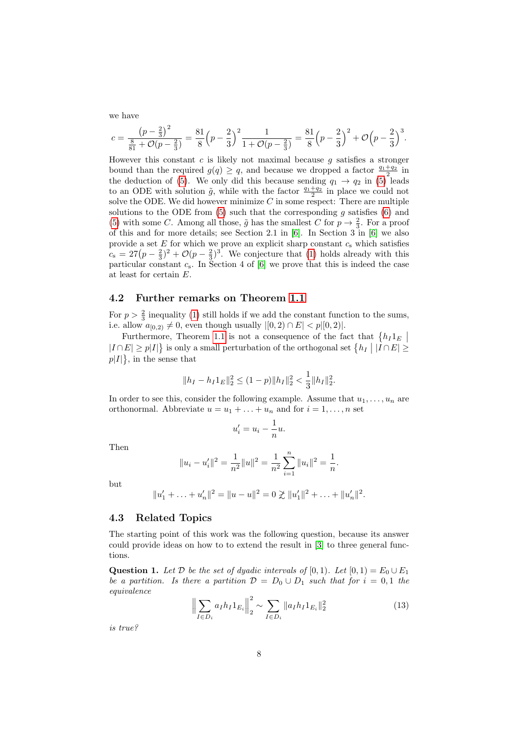we have

$$
c = \frac{\left(p - \frac{2}{3}\right)^2}{\frac{8}{81} + \mathcal{O}(p - \frac{2}{3})} = \frac{81}{8}\left(p - \frac{2}{3}\right)^2 \frac{1}{1 + \mathcal{O}(p - \frac{2}{3})} = \frac{81}{8}\left(p - \frac{2}{3}\right)^2 + \mathcal{O}\left(p - \frac{2}{3}\right)^3.
$$

However this constant  $c$  is likely not maximal because  $q$  satisfies a stronger bound than the required  $g(q) \geq q$ , and because we dropped a factor  $\frac{q_1+q_2}{2}$  in the deduction of [\(5\)](#page-2-2). We only did this because sending  $q_1 \rightarrow q_2$  in (5) leads to an ODE with solution  $\tilde{g}$ , while with the factor  $\frac{q_1+q_2}{2}$  in place we could not solve the ODE. We did however minimize  $C$  in some respect: There are multiple solutions to the ODE from  $(5)$  such that the corresponding  $g$  satisfies  $(6)$  and [\(5\)](#page-2-2) with some C. Among all those,  $\tilde{g}$  has the smallest C for  $p \to \frac{2}{3}$ . For a proof of this and for more details; see Section 2.1 in [\[6\]](#page-9-0). In Section 3 in [\[6\]](#page-9-0) we also provide a set  $E$  for which we prove an explicit sharp constant  $c_s$  which satisfies  $c_s = 27(p - \frac{2}{3})^2 + \mathcal{O}(p - \frac{2}{3})^3$ . We conjecture that [\(1\)](#page-0-1) holds already with this particular constant  $c_s$ . In Section 4 of [\[6\]](#page-9-0) we prove that this is indeed the case at least for certain E.

#### 4.2 Further remarks on Theorem [1.1](#page-0-0)

For  $p > \frac{2}{3}$  inequality [\(1\)](#page-0-1) still holds if we add the constant function to the sums, i.e. allow  $a_{[0,2)} \neq 0$ , even though usually  $|[0,2) \cap E| < p|[0,2)|$ .

Furthermore, Theorem [1.1](#page-0-0) is not a consequence of the fact that  $\{h_I 1_E \mid$  $|I \cap E| \ge p|I|\}$  is only a small perturbation of the orthogonal set  $\{h_I \mid |I \cap E| \ge$  $p|I|\},\$  in the sense that

$$
||h_I - h_I 1_E||_2^2 \le (1-p)||h_I||_2^2 < \frac{1}{3}||h_I||_2^2.
$$

In order to see this, consider the following example. Assume that  $u_1, \ldots, u_n$  are orthonormal. Abbreviate  $u = u_1 + \ldots + u_n$  and for  $i = 1, \ldots, n$  set

$$
u_i' = u_i - \frac{1}{n}u.
$$

u

Then

$$
||u_i - u'_i||^2 = \frac{1}{n^2} ||u||^2 = \frac{1}{n^2} \sum_{i=1}^n ||u_i||^2 = \frac{1}{n}.
$$

but

$$
||u'_1 + \ldots + u'_n||^2 = ||u - u||^2 = 0 \not\geq ||u'_1||^2 + \ldots + ||u'_n||^2.
$$

#### 4.3 Related Topics

The starting point of this work was the following question, because its answer could provide ideas on how to to extend the result in [\[3\]](#page-9-1) to three general functions.

<span id="page-7-0"></span>**Question 1.** Let  $D$  be the set of dyadic intervals of [0, 1). Let  $[0, 1) = E_0 \cup E_1$ be a partition. Is there a partition  $\mathcal{D} = D_0 \cup D_1$  such that for  $i = 0, 1$  the equivalence

<span id="page-7-1"></span>
$$
\left\| \sum_{I \in D_i} a_I h_I 1_{E_i} \right\|_2^2 \sim \sum_{I \in D_i} \|a_I h_I 1_{E_i} \|_2^2 \tag{13}
$$

is true?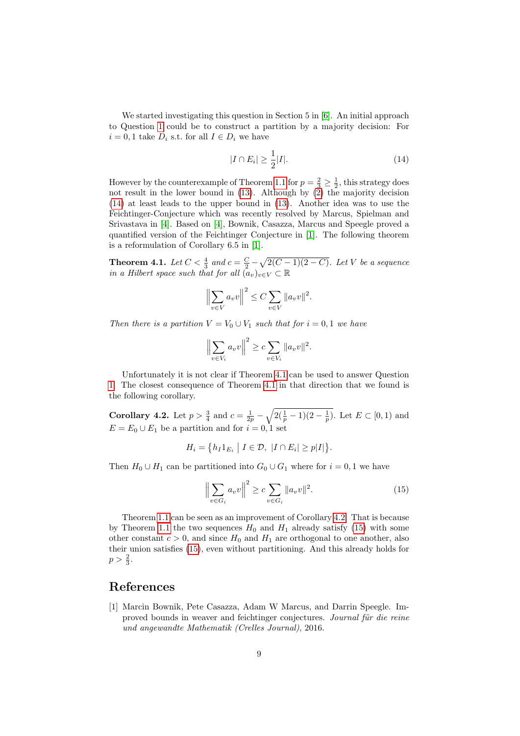We started investigating this question in Section 5 in [\[6\]](#page-9-0). An initial approach to Question [1](#page-7-0) could be to construct a partition by a majority decision: For  $i = 0, 1$  take  $D_i$  s.t. for all  $I \in D_i$  we have

<span id="page-8-1"></span>
$$
|I \cap E_i| \ge \frac{1}{2}|I|.\tag{14}
$$

However by the counterexample of Theorem [1.1](#page-0-0) for  $p = \frac{2}{3} \geq \frac{1}{2}$ , this strategy does not result in the lower bound in [\(13\)](#page-7-1). Although by [\(2\)](#page-1-0) the majority decision [\(14\)](#page-8-1) at least leads to the upper bound in [\(13\)](#page-7-1). Another idea was to use the Feichtinger-Conjecture which was recently resolved by Marcus, Spielman and Srivastava in [\[4\]](#page-9-3). Based on [\[4\]](#page-9-3), Bownik, Casazza, Marcus and Speegle proved a quantified version of the Feichtinger Conjecture in [\[1\]](#page-8-0). The following theorem is a reformulation of Corollary 6.5 in [\[1\]](#page-8-0).

<span id="page-8-2"></span>**Theorem 4.1.** Let  $C < \frac{4}{3}$  and  $c = \frac{C}{2} - \sqrt{2(C-1)(2-C)}$ . Let V be a sequence in a Hilbert space such that for all  $(a_v)_{v\in V} \subset \mathbb{R}$ 

$$
\left\|\sum_{v\in V} a_v v\right\|^2 \le C \sum_{v\in V} \|a_v v\|^2.
$$

Then there is a partition  $V = V_0 \cup V_1$  such that for  $i = 0, 1$  we have

$$
\left\|\sum_{v\in V_i} a_v v\right\|^2 \geq c \sum_{v\in V_i} \|a_v v\|^2.
$$

Unfortunately it is not clear if Theorem [4.1](#page-8-2) can be used to answer Question [1.](#page-7-0) The closest consequence of Theorem [4.1](#page-8-2) in that direction that we found is the following corollary.

<span id="page-8-3"></span>**Corollary 4.2.** Let  $p > \frac{3}{4}$  and  $c = \frac{1}{2p} - \sqrt{2(\frac{1}{p} - 1)(2 - \frac{1}{p})}$ . Let  $E \subset [0, 1)$  and  $E = E_0 \cup E_1$  be a partition and for  $i = 0, 1$  set

$$
H_i = \{ h_I 1_{E_i} \mid I \in \mathcal{D}, \ |I \cap E_i| \ge p |I| \}.
$$

Then  $H_0 \cup H_1$  can be partitioned into  $G_0 \cup G_1$  where for  $i = 0, 1$  we have

<span id="page-8-4"></span>
$$
\left\| \sum_{v \in G_i} a_v v \right\|^2 \ge c \sum_{v \in G_i} \|a_v v\|^2.
$$
 (15)

Theorem [1.1](#page-0-0) can be seen as an improvement of Corollary [4.2.](#page-8-3) That is because by Theorem [1.1](#page-0-0) the two sequences  $H_0$  and  $H_1$  already satisfy [\(15\)](#page-8-4) with some other constant  $c > 0$ , and since  $H_0$  and  $H_1$  are orthogonal to one another, also their union satisfies [\(15\)](#page-8-4), even without partitioning. And this already holds for  $p > \frac{2}{3}$ .

## References

<span id="page-8-0"></span>[1] Marcin Bownik, Pete Casazza, Adam W Marcus, and Darrin Speegle. Improved bounds in weaver and feichtinger conjectures. Journal für die reine und angewandte Mathematik (Crelles Journal), 2016.